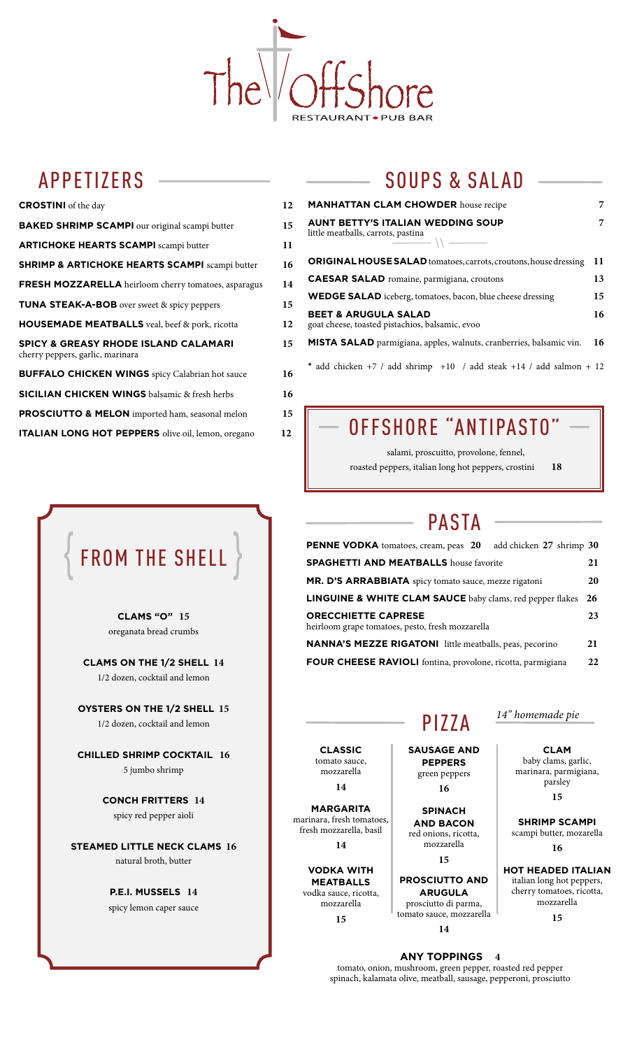

## APPETIZERS

| <b>CROSTINI</b> of the day                                                          | 12 |
|-------------------------------------------------------------------------------------|----|
| <b>BAKED SHRIMP SCAMPI</b> our original scampi butter                               | 15 |
| <b>ARTICHOKE HEARTS SCAMPI scampi butter</b>                                        | 11 |
| <b>SHRIMP &amp; ARTICHOKE HEARTS SCAMPI scampi butter</b>                           | 16 |
| <b>FRESH MOZZARELLA</b> heirloom cherry tomatoes, asparagus                         | 14 |
| <b>TUNA STEAK-A-BOB</b> over sweet & spicy peppers                                  | 15 |
| <b>HOUSEMADE MEATBALLS</b> veal, beef & pork, ricotta                               | 12 |
| <b>SPICY &amp; GREASY RHODE ISLAND CALAMARI</b><br>cherry peppers, garlic, marinara | 15 |
| <b>BUFFALO CHICKEN WINGS</b> spicy Calabrian hot sauce                              | 16 |
| <b>SICILIAN CHICKEN WINGS</b> balsamic & fresh herbs                                | 16 |
| PROSCIUTTO & MELON imported ham, seasonal melon                                     | 15 |
| ITALIAN LONG HOT PEPPERS olive oil, lemon, oregano                                  | 12 |

# $\{$  FROM THE SHELL  $\}$

**CLAMS "O" 15** oreganata bread crumbs

**CLAMS ON THE 1/2 SHELL 14** 1/2 dozen, cocktail and lemon

**OYSTERS ON THE 1/2 SHELL 15** 1/2 dozen, cocktail and lemon

**CHILLED SHRIMP COCKTAIL 16** 5 jumbo shrimp

> **CONCH FRITTERS 14** spicy red pepper aioli

**STEAMED LITTLE NECK CLAMS 16** natural broth, butter

> **P.E.I. MUSSELS 14** spicy lemon caper sauce

## SOUPS & SALAD

| <b>MANHATTAN CLAM CHOWDER</b> house recipe                                                                                                                                                                                                                                                                                                                                                                                                                                                             |    |  |
|--------------------------------------------------------------------------------------------------------------------------------------------------------------------------------------------------------------------------------------------------------------------------------------------------------------------------------------------------------------------------------------------------------------------------------------------------------------------------------------------------------|----|--|
| <b>AUNT BETTY'S ITALIAN WEDDING SOUP</b><br>little meatballs, carrots, pastina<br>$\frac{1}{\sqrt{1-\frac{1}{2}}\sqrt{1-\frac{1}{2}}\sqrt{1-\frac{1}{2}}\sqrt{1-\frac{1}{2}}\sqrt{1-\frac{1}{2}}\sqrt{1-\frac{1}{2}}\sqrt{1-\frac{1}{2}}\sqrt{1-\frac{1}{2}}\sqrt{1-\frac{1}{2}}\sqrt{1-\frac{1}{2}}\sqrt{1-\frac{1}{2}}\sqrt{1-\frac{1}{2}}\sqrt{1-\frac{1}{2}}\sqrt{1-\frac{1}{2}}\sqrt{1-\frac{1}{2}}\sqrt{1-\frac{1}{2}}\sqrt{1-\frac{1}{2}}\sqrt{1-\frac{1}{2}}\sqrt{1-\frac{1}{2}}\sqrt{1-\frac$ | 7  |  |
| <b>ORIGINAL HOUSE SALAD</b> tomatoes, carrots, croutons, house dressing                                                                                                                                                                                                                                                                                                                                                                                                                                | 11 |  |
| <b>CAESAR SALAD</b> romaine, parmigiana, croutons                                                                                                                                                                                                                                                                                                                                                                                                                                                      | 13 |  |
| <b>WEDGE SALAD</b> iceberg, tomatoes, bacon, blue cheese dressing                                                                                                                                                                                                                                                                                                                                                                                                                                      |    |  |
| <b>BEET &amp; ARUGULA SALAD</b><br>goat cheese, toasted pistachios, balsamic, evoo                                                                                                                                                                                                                                                                                                                                                                                                                     | 16 |  |
| <b>MISTA SALAD</b> parmigiana, apples, walnuts, cranberries, balsamic vin.                                                                                                                                                                                                                                                                                                                                                                                                                             | 16 |  |
| $*$ add chicken +7 / add shrimp +10 / add steak +14 / add salmon + 12                                                                                                                                                                                                                                                                                                                                                                                                                                  |    |  |

## OFFSHORE "ANTIPASTO"

salami, proscuitto, provolone, fennel, roasted peppers, italian long hot peppers, crostini **18**

## PASTA

| <b>PENNE VODKA</b> tomatoes, cream, peas 20<br>add chicken 27 shrimp 30        |    |
|--------------------------------------------------------------------------------|----|
| <b>SPAGHETTI AND MEATBALLS</b> house favorite                                  |    |
| MR. D'S ARRABBIATA spicy tomato sauce, mezze rigatoni                          |    |
| <b>LINGUINE &amp; WHITE CLAM SAUCE</b> baby clams, red pepper flakes<br>- 26   |    |
| <b>ORECCHIETTE CAPRESE</b><br>heirloom grape tomatoes, pesto, fresh mozzarella | 23 |
| <b>NANNA'S MEZZE RIGATONI</b> little meatballs, peas, pecorino                 | 21 |
| <b>COUD CUEECE DAVIOLI</b> fonting may plane mights magnitudes                 | າາ |

**E RAVIOLI** fontina, provolone, ricotta, parmigiana

# PIZZA

**CLASSIC**  tomato sauce, mozzarella **14**

**MARGARITA** marinara, fresh tomatoes, fresh mozzarella, basil

**14**

**VODKA WITH MEATBALLS**  vodka sauce, ricotta, mozzarella **15**

**SAUSAGE AND PEPPERS**

green peppers **16** 

**SPINACH AND BACON** red onions, ricotta, mozzarella

**15**

**PROSCIUTTO AND ARUGULA** prosciutto di parma, tomato sauce, mozzarella **14**

### *14" homemade pie*

**CLAM** baby clams, garlic, marinara, parmigiana, parsley **15** 

**SHRIMP SCAMPI**  scampi butter, mozarella **16** 

**HOT HEADED ITALIAN** italian long hot peppers, cherry tomatoes, ricotta, mozzarella **15**

**ANY TOPPINGS 4**  tomato, onion, mushroom, green pepper, roasted red pepper spinach, kalamata olive, meatball, sausage, pepperoni, prosciutto